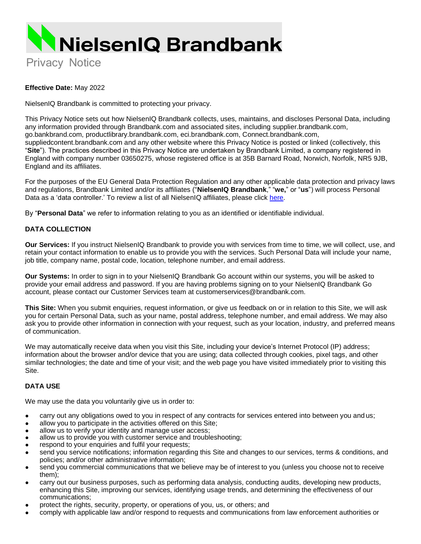

#### **Effective Date:** May 2022

NielsenIQ Brandbank is committed to protecting your privacy.

This Privacy Notice sets out how NielsenIQ Brandbank collects, uses, maintains, and discloses Personal Data, including any information provided through Brandbank.com and associated sites, including supplier.brandbank.com, go.bankbrand.com, productlibrary.brandbank.com, eci.brandbank.com, Connect.brandbank.com, suppliedcontent.brandbank.com and any other website where this Privacy Notice is posted or linked (collectively, this "**Site**"). The practices described in this Privacy Notice are undertaken by Brandbank Limited, a company registered in England with company number 03650275, whose registered office is at 35B Barnard Road, Norwich, Norfolk, NR5 9JB, England and its affiliates.

For the purposes of the EU General Data Protection Regulation and any other applicable data protection and privacy laws and regulations, Brandbank Limited and/or its affiliates ("**NielsenIQ Brandbank**," "**we,**" or "**us**") will process Personal Data as a 'data controller.' To review a list of all NielsenIQ affiliates, please click here.

By "**Personal Data**" we refer to information relating to you as an identified or identifiable individual.

#### **DATA COLLECTION**

**Our Services:** If you instruct NielsenIQ Brandbank to provide you with services from time to time, we will collect, use, and retain your contact information to enable us to provide you with the services. Such Personal Data will include your name, job title, company name, postal code, location, telephone number, and email address.

**Our Systems:** In order to sign in to your NielsenIQ Brandbank Go account within our systems, you will be asked to provide your email address and password. If you are having problems signing on to your NielsenIQ Brandbank Go account, please contact our Customer Services team at [customerservices@brandbank.com.](mailto:customerservices@brandbank.com)

**This Site:** When you submit enquiries, request information, or give us feedback on or in relation to this Site, we will ask you for certain Personal Data, such as your name, postal address, telephone number, and email address. We may also ask you to provide other information in connection with your request, such as your location, industry, and preferred means of communication.

We may automatically receive data when you visit this Site, including your device's Internet Protocol (IP) address; information about the browser and/or device that you are using; data collected through cookies, pixel tags, and other similar technologies; the date and time of your visit; and the web page you have visited immediately prior to visiting this Site.

#### **DATA USE**

We may use the data you voluntarily give us in order to:

- carry out any obligations owed to you in respect of any contracts for services entered into between you andus;
- allow you to participate in the activities offered on this Site;
- allow us to verify your identity and manage user access;
- allow us to provide you with customer service and troubleshooting;
- respond to your enquiries and fulfil your requests;
- send you service notifications; information regarding this Site and changes to our services, terms & conditions, and policies; and/or other administrative information;
- send you commercial communications that we believe may be of interest to you (unless you choose not to receive them);
- carry out our business purposes, such as performing data analysis, conducting audits, developing new products, enhancing this Site, improving our services, identifying usage trends, and determining the effectiveness of our communications;
- protect the rights, security, property, or operations of you, us, or others; and
- comply with applicable law and/or respond to requests and communications from law enforcement authorities or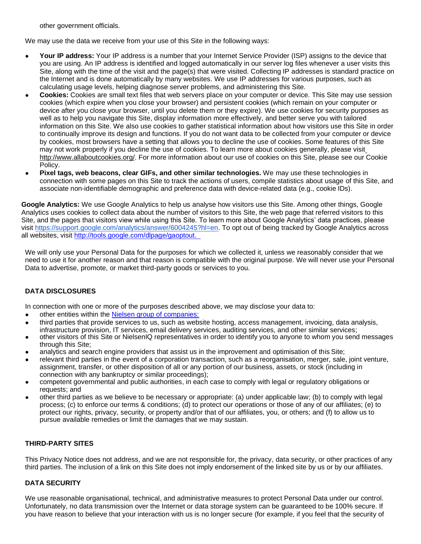other government officials.

We may use the data we receive from your use of this Site in the following ways:

- Your IP address: Your IP address is a number that your Internet Service Provider (ISP) assigns to the device that you are using. An IP address is identified and logged automatically in our server log files whenever a user visits this Site, along with the time of the visit and the page(s) that were visited. Collecting IP addresses is standard practice on the Internet and is done automatically by many websites. We use IP addresses for various purposes, such as calculating usage levels, helping diagnose server problems, and administering this Site.
- **Cookies:** Cookies are small text files that web servers place on your computer or device. This Site may use session cookies (which expire when you close your browser) and persistent cookies (which remain on your computer or device after you close your browser, until you delete them or they expire). We use cookies for security purposes as well as to help you navigate this Site, display information more effectively, and better serve you with tailored information on this Site. We also use cookies to gather statistical information about how visitors use this Site in order to continually improve its design and functions. If you do not want data to be collected from your computer or device by cookies, most browsers have a setting that allows you to decline the use of cookies. Some features of this Site may not work properly if you decline the use of cookies. To learn more about cookies generally, please visi[t](http://www.allaboutcookies.org/) [http://www.allaboutcookies.org/. F](http://www.allaboutcookies.org/)or more information about our use of cookies on this Site, please see our Cookie Policy.
- **Pixel tags, web beacons, clear GIFs, and other similar technologies.** We may use these technologies in connection with some pages on this Site to track the actions of users, compile statistics about usage of this Site, and associate non-identifiable demographic and preference data with device-related data (e.g., cookie IDs).

**Google Analytics:** We use Google Analytics to help us analyse how visitors use this Site. Among other things, Google Analytics uses cookies to collect data about the number of visitors to this Site, the web page that referred visitors to this Site, and the pages that visitors view while using this Site. To learn more about Google Analytics' data practices, please visit [https://support.google.com/analytics/answer/6004245?hl=en.](https://support.google.com/analytics/answer/6004245?hl=en) To opt out of being tracked by Google Analytics across all websites, visit<http://tools.google.com/dlpage/gaoptout.>

We will only use your Personal Data for the purposes for which we collected it, unless we reasonably consider that we need to use it for another reason and that reason is compatible with the original purpose. We will never use your Personal Data to advertise, promote, or market third-party goods or services to you.

# **DATA DISCLOSURES**

In connection with one or more of the purposes described above, we may disclose your data to:

- other entities within the [Nielsen group of companies:](https://nielseniq.com/global/en/legal/gdpr-operating-entities/)
- third parties that provide services to us, such as website hosting, access management, invoicing, data analysis, infrastructure provision, IT services, email delivery services, auditing services, and other similar services;
- other visitors of this Site or NielsenIQ representatives in order to identify you to anyone to whom you send messages through this Site;
- analytics and search engine providers that assist us in the improvement and optimisation of this Site;
- relevant third parties in the event of a corporation transaction, such as a reorganisation, merger, sale, joint venture, assignment, transfer, or other disposition of all or any portion of our business, assets, or stock (including in connection with any bankruptcy or similar proceedings);
- competent governmental and public authorities, in each case to comply with legal or regulatory obligations or requests; and
- other third parties as we believe to be necessary or appropriate: (a) under applicable law; (b) to comply with legal process; (c) to enforce our terms & conditions; (d) to protect our operations or those of any of our affiliates; (e) to protect our rights, privacy, security, or property and/or that of our affiliates, you, or others; and (f) to allow us to pursue available remedies or limit the damages that we may sustain.

## **THIRD-PARTY SITES**

This Privacy Notice does not address, and we are not responsible for, the privacy, data security, or other practices of any third parties. The inclusion of a link on this Site does not imply endorsement of the linked site by us or by our affiliates.

## **DATA SECURITY**

We use reasonable organisational, technical, and administrative measures to protect Personal Data under our control. Unfortunately, no data transmission over the Internet or data storage system can be guaranteed to be 100% secure. If you have reason to believe that your interaction with us is no longer secure (for example, if you feel that the security of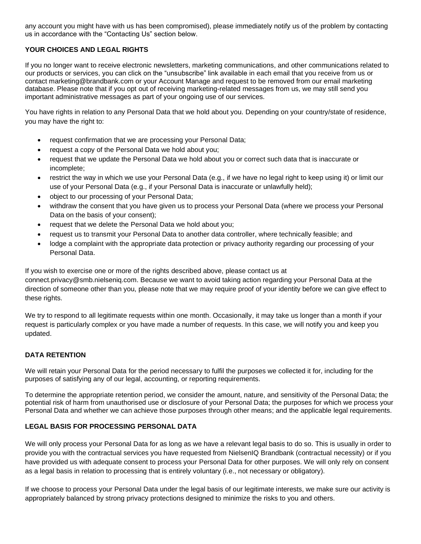any account you might have with us has been compromised), please immediately notify us of the problem by contacting us in accordance with the "Contacting Us" section below.

## **YOUR CHOICES AND LEGAL RIGHTS**

If you no longer want to receive electronic newsletters, marketing communications, and other communications related to our products or services, you can click on the "unsubscribe" link available in each email that you receive from us or contact marketing@brandbank.com or your Account Manage and request to be removed from our email marketing database. Please note that if you opt out of receiving marketing-related messages from us, we may still send you important administrative messages as part of your ongoing use of our services.

You have rights in relation to any Personal Data that we hold about you. Depending on your country/state of residence, you may have the right to:

- request confirmation that we are processing your Personal Data;
- request a copy of the Personal Data we hold about you;
- request that we update the Personal Data we hold about you or correct such data that is inaccurate or incomplete;
- restrict the way in which we use your Personal Data (e.g., if we have no legal right to keep using it) or limit our use of your Personal Data (e.g., if your Personal Data is inaccurate or unlawfully held);
- object to our processing of your Personal Data;
- withdraw the consent that you have given us to process your Personal Data (where we process your Personal Data on the basis of your consent);
- request that we delete the Personal Data we hold about you;
- request us to transmit your Personal Data to another data controller, where technically feasible; and
- lodge a complaint with the appropriate data protection or privacy authority regarding our processing of your Personal Data.

If you wish to exercise one or more of the rights described above, please contact us at connect.privacy@smb.nielseniq.com. Because we want to avoid taking action regarding your Personal Data at the direction of someone other than you, please note that we may require proof of your identity before we can give effect to these rights.

We try to respond to all legitimate requests within one month. Occasionally, it may take us longer than a month if your request is particularly complex or you have made a number of requests. In this case, we will notify you and keep you updated.

# **DATA RETENTION**

We will retain your Personal Data for the period necessary to fulfil the purposes we collected it for, including for the purposes of satisfying any of our legal, accounting, or reporting requirements.

To determine the appropriate retention period, we consider the amount, nature, and sensitivity of the Personal Data; the potential risk of harm from unauthorised use or disclosure of your Personal Data; the purposes for which we process your Personal Data and whether we can achieve those purposes through other means; and the applicable legal requirements.

## **LEGAL BASIS FOR PROCESSING PERSONAL DATA**

We will only process your Personal Data for as long as we have a relevant legal basis to do so. This is usually in order to provide you with the contractual services you have requested from NielsenIQ Brandbank (contractual necessity) or if you have provided us with adequate consent to process your Personal Data for other purposes. We will only rely on consent as a legal basis in relation to processing that is entirely voluntary (i.e., not necessary or obligatory).

If we choose to process your Personal Data under the legal basis of our legitimate interests, we make sure our activity is appropriately balanced by strong privacy protections designed to minimize the risks to you and others.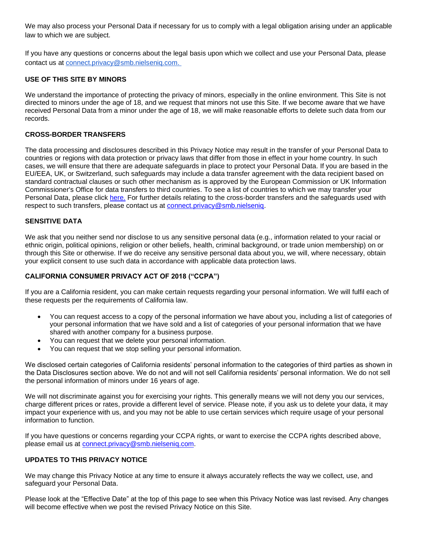We may also process your Personal Data if necessary for us to comply with a legal obligation arising under an applicable law to which we are subject.

If you have any questions or concerns about the legal basis upon which we collect and use your Personal Data, please contact us at connect.privacy@smb.nielseniq.com.

## **USE OF THIS SITE BY MINORS**

We understand the importance of protecting the privacy of minors, especially in the online environment. This Site is not directed to minors under the age of 18, and we request that minors not use this Site. If we become aware that we have received Personal Data from a minor under the age of 18, we will make reasonable efforts to delete such data from our records.

#### **CROSS-BORDER TRANSFERS**

The data processing and disclosures described in this Privacy Notice may result in the transfer of your Personal Data to countries or regions with data protection or privacy laws that differ from those in effect in your home country. In such cases, we will ensure that there are adequate safeguards in place to protect your Personal Data. If you are based in the EU/EEA, UK, or Switzerland, such safeguards may include a data transfer agreement with the data recipient based on standard contractual clauses or such other mechanism as is approved by the European Commission or UK Information Commissioner's Office for data transfers to third countries. To see a list of countries to which we may transfer your Personal Data, please click [here.](https://nielseniq.com/global/en/legal/gdpr-operating-entities/) For further details relating to the cross-border transfers and the safeguards used with respect to such transfers, please contact us at [connect.privacy@smb.nielseniq.](mailto:connect.privacy@smb.nielseniq)

#### **SENSITIVE DATA**

We ask that you neither send nor disclose to us any sensitive personal data (e.g., information related to your racial or ethnic origin, political opinions, religion or other beliefs, health, criminal background, or trade union membership) on or through this Site or otherwise. If we do receive any sensitive personal data about you, we will, where necessary, obtain your explicit consent to use such data in accordance with applicable data protection laws.

#### **CALIFORNIA CONSUMER PRIVACY ACT OF 2018 ("CCPA")**

If you are a California resident, you can make certain requests regarding your personal information. We will fulfil each of these requests per the requirements of California law.

- You can request access to a copy of the personal information we have about you, including a list of categories of your personal information that we have sold and a list of categories of your personal information that we have shared with another company for a business purpose.
- You can request that we delete your personal information.
- You can request that we stop selling your personal information.

We disclosed certain categories of California residents' personal information to the categories of third parties as shown in the Data Disclosures section above. We do not and will not sell California residents' personal information. We do not sell the personal information of minors under 16 years of age.

We will not discriminate against you for exercising your rights. This generally means we will not deny you our services, charge different prices or rates, provide a different level of service. Please note, if you ask us to delete your data, it may impact your experience with us, and you may not be able to use certain services which require usage of your personal information to function.

If you have questions or concerns regarding your CCPA rights, or want to exercise the CCPA rights described above, please email us at [connect.privacy@smb.nielseniq.com.](mailto:connect.privacy@smb.nielseniq.com)

## **UPDATES TO THIS PRIVACY NOTICE**

We may change this Privacy Notice at any time to ensure it always accurately reflects the way we collect, use, and safeguard your Personal Data.

Please look at the "Effective Date" at the top of this page to see when this Privacy Notice was last revised. Any changes will become effective when we post the revised Privacy Notice on this Site.